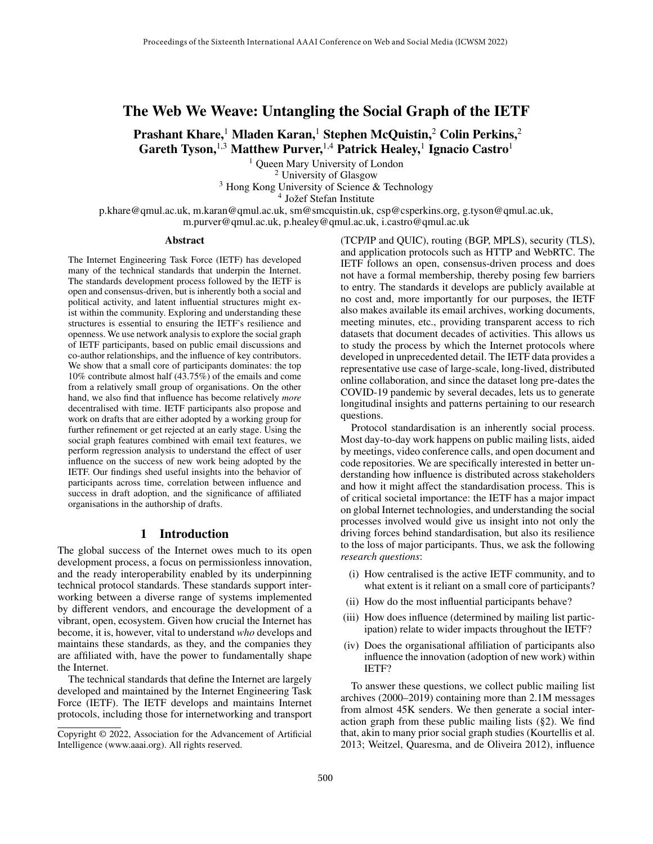# The Web We Weave: Untangling the Social Graph of the IETF

Prashant Khare,<sup>1</sup> Mladen Karan,<sup>1</sup> Stephen McQuistin,<sup>2</sup> Colin Perkins,<sup>2</sup> Gareth Tyson,  $^{1,3}$  Matthew Purver,  $^{1,4}$  Patrick Healey,  $^{1}$  Ignacio Castro $^{1}$ 

> <sup>1</sup> Queen Mary University of London <sup>2</sup> University of Glasgow

<sup>3</sup> Hong Kong University of Science & Technology  $4 \text{ Jožef Stefan Institute}$ 

p.khare@qmul.ac.uk, m.karan@qmul.ac.uk, sm@smcquistin.uk, csp@csperkins.org, g.tyson@qmul.ac.uk, m.purver@qmul.ac.uk, p.healey@qmul.ac.uk, i.castro@qmul.ac.uk

#### Abstract

The Internet Engineering Task Force (IETF) has developed many of the technical standards that underpin the Internet. The standards development process followed by the IETF is open and consensus-driven, but is inherently both a social and political activity, and latent influential structures might exist within the community. Exploring and understanding these structures is essential to ensuring the IETF's resilience and openness. We use network analysis to explore the social graph of IETF participants, based on public email discussions and co-author relationships, and the influence of key contributors. We show that a small core of participants dominates: the top 10% contribute almost half (43.75%) of the emails and come from a relatively small group of organisations. On the other hand, we also find that influence has become relatively *more* decentralised with time. IETF participants also propose and work on drafts that are either adopted by a working group for further refinement or get rejected at an early stage. Using the social graph features combined with email text features, we perform regression analysis to understand the effect of user influence on the success of new work being adopted by the IETF. Our findings shed useful insights into the behavior of participants across time, correlation between influence and success in draft adoption, and the significance of affiliated organisations in the authorship of drafts.

### 1 Introduction

The global success of the Internet owes much to its open development process, a focus on permissionless innovation, and the ready interoperability enabled by its underpinning technical protocol standards. These standards support interworking between a diverse range of systems implemented by different vendors, and encourage the development of a vibrant, open, ecosystem. Given how crucial the Internet has become, it is, however, vital to understand *who* develops and maintains these standards, as they, and the companies they are affiliated with, have the power to fundamentally shape the Internet.

The technical standards that define the Internet are largely developed and maintained by the Internet Engineering Task Force (IETF). The IETF develops and maintains Internet protocols, including those for internetworking and transport (TCP/IP and QUIC), routing (BGP, MPLS), security (TLS), and application protocols such as HTTP and WebRTC. The IETF follows an open, consensus-driven process and does not have a formal membership, thereby posing few barriers to entry. The standards it develops are publicly available at no cost and, more importantly for our purposes, the IETF also makes available its email archives, working documents, meeting minutes, etc., providing transparent access to rich datasets that document decades of activities. This allows us to study the process by which the Internet protocols where developed in unprecedented detail. The IETF data provides a representative use case of large-scale, long-lived, distributed online collaboration, and since the dataset long pre-dates the COVID-19 pandemic by several decades, lets us to generate longitudinal insights and patterns pertaining to our research questions.

Protocol standardisation is an inherently social process. Most day-to-day work happens on public mailing lists, aided by meetings, video conference calls, and open document and code repositories. We are specifically interested in better understanding how influence is distributed across stakeholders and how it might affect the standardisation process. This is of critical societal importance: the IETF has a major impact on global Internet technologies, and understanding the social processes involved would give us insight into not only the driving forces behind standardisation, but also its resilience to the loss of major participants. Thus, we ask the following *research questions*:

- (i) How centralised is the active IETF community, and to what extent is it reliant on a small core of participants?
- (ii) How do the most influential participants behave?
- (iii) How does influence (determined by mailing list participation) relate to wider impacts throughout the IETF?
- (iv) Does the organisational affiliation of participants also influence the innovation (adoption of new work) within IETF?

To answer these questions, we collect public mailing list archives (2000–2019) containing more than 2.1M messages from almost 45K senders. We then generate a social interaction graph from these public mailing lists (§2). We find that, akin to many prior social graph studies (Kourtellis et al. 2013; Weitzel, Quaresma, and de Oliveira 2012), influence

Copyright © 2022, Association for the Advancement of Artificial Intelligence (www.aaai.org). All rights reserved.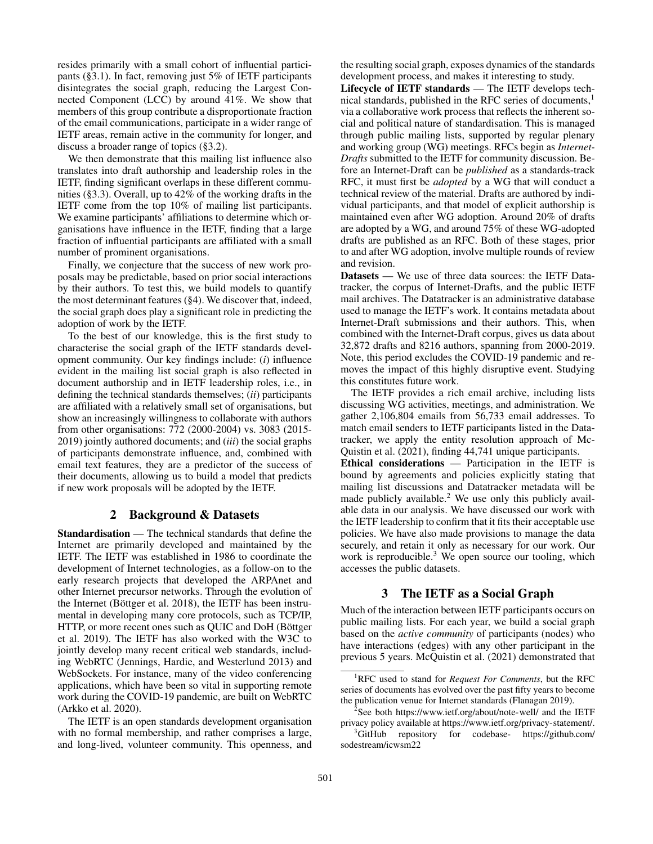resides primarily with a small cohort of influential participants (§3.1). In fact, removing just 5% of IETF participants disintegrates the social graph, reducing the Largest Connected Component (LCC) by around 41%. We show that members of this group contribute a disproportionate fraction of the email communications, participate in a wider range of IETF areas, remain active in the community for longer, and discuss a broader range of topics (§3.2).

We then demonstrate that this mailing list influence also translates into draft authorship and leadership roles in the IETF, finding significant overlaps in these different communities (§3.3). Overall, up to 42% of the working drafts in the IETF come from the top 10% of mailing list participants. We examine participants' affiliations to determine which organisations have influence in the IETF, finding that a large fraction of influential participants are affiliated with a small number of prominent organisations.

Finally, we conjecture that the success of new work proposals may be predictable, based on prior social interactions by their authors. To test this, we build models to quantify the most determinant features (§4). We discover that, indeed, the social graph does play a significant role in predicting the adoption of work by the IETF.

To the best of our knowledge, this is the first study to characterise the social graph of the IETF standards development community. Our key findings include: (*i*) influence evident in the mailing list social graph is also reflected in document authorship and in IETF leadership roles, i.e., in defining the technical standards themselves; (*ii*) participants are affiliated with a relatively small set of organisations, but show an increasingly willingness to collaborate with authors from other organisations: 772 (2000-2004) vs. 3083 (2015- 2019) jointly authored documents; and (*iii*) the social graphs of participants demonstrate influence, and, combined with email text features, they are a predictor of the success of their documents, allowing us to build a model that predicts if new work proposals will be adopted by the IETF.

### 2 Background & Datasets

Standardisation — The technical standards that define the Internet are primarily developed and maintained by the IETF. The IETF was established in 1986 to coordinate the development of Internet technologies, as a follow-on to the early research projects that developed the ARPAnet and other Internet precursor networks. Through the evolution of the Internet (Böttger et al. 2018), the IETF has been instrumental in developing many core protocols, such as TCP/IP, HTTP, or more recent ones such as QUIC and DoH (Böttger et al. 2019). The IETF has also worked with the W3C to jointly develop many recent critical web standards, including WebRTC (Jennings, Hardie, and Westerlund 2013) and WebSockets. For instance, many of the video conferencing applications, which have been so vital in supporting remote work during the COVID-19 pandemic, are built on WebRTC (Arkko et al. 2020).

The IETF is an open standards development organisation with no formal membership, and rather comprises a large, and long-lived, volunteer community. This openness, and the resulting social graph, exposes dynamics of the standards development process, and makes it interesting to study.

Lifecycle of IETF standards — The IETF develops technical standards, published in the RFC series of documents,<sup>1</sup> via a collaborative work process that reflects the inherent social and political nature of standardisation. This is managed through public mailing lists, supported by regular plenary and working group (WG) meetings. RFCs begin as *Internet-Drafts* submitted to the IETF for community discussion. Before an Internet-Draft can be *published* as a standards-track RFC, it must first be *adopted* by a WG that will conduct a technical review of the material. Drafts are authored by individual participants, and that model of explicit authorship is maintained even after WG adoption. Around 20% of drafts are adopted by a WG, and around 75% of these WG-adopted drafts are published as an RFC. Both of these stages, prior to and after WG adoption, involve multiple rounds of review and revision.

Datasets — We use of three data sources: the IETF Datatracker, the corpus of Internet-Drafts, and the public IETF mail archives. The Datatracker is an administrative database used to manage the IETF's work. It contains metadata about Internet-Draft submissions and their authors. This, when combined with the Internet-Draft corpus, gives us data about 32,872 drafts and 8216 authors, spanning from 2000-2019. Note, this period excludes the COVID-19 pandemic and removes the impact of this highly disruptive event. Studying this constitutes future work.

The IETF provides a rich email archive, including lists discussing WG activities, meetings, and administration. We gather 2,106,804 emails from 56,733 email addresses. To match email senders to IETF participants listed in the Datatracker, we apply the entity resolution approach of Mc-Quistin et al. (2021), finding 44,741 unique participants.

Ethical considerations — Participation in the IETF is bound by agreements and policies explicitly stating that mailing list discussions and Datatracker metadata will be made publicly available. $2$  We use only this publicly available data in our analysis. We have discussed our work with the IETF leadership to confirm that it fits their acceptable use policies. We have also made provisions to manage the data securely, and retain it only as necessary for our work. Our work is reproducible.<sup>3</sup> We open source our tooling, which accesses the public datasets.

## 3 The IETF as a Social Graph

Much of the interaction between IETF participants occurs on public mailing lists. For each year, we build a social graph based on the *active community* of participants (nodes) who have interactions (edges) with any other participant in the previous 5 years. McQuistin et al. (2021) demonstrated that

<sup>1</sup>RFC used to stand for *Request For Comments*, but the RFC series of documents has evolved over the past fifty years to become the publication venue for Internet standards (Flanagan 2019).

<sup>&</sup>lt;sup>2</sup>See both https://www.ietf.org/about/note-well/ and the IETF privacy policy available at https://www.ietf.org/privacy-statement/.

<sup>3</sup>GitHub repository for codebase- https://github.com/ sodestream/icwsm22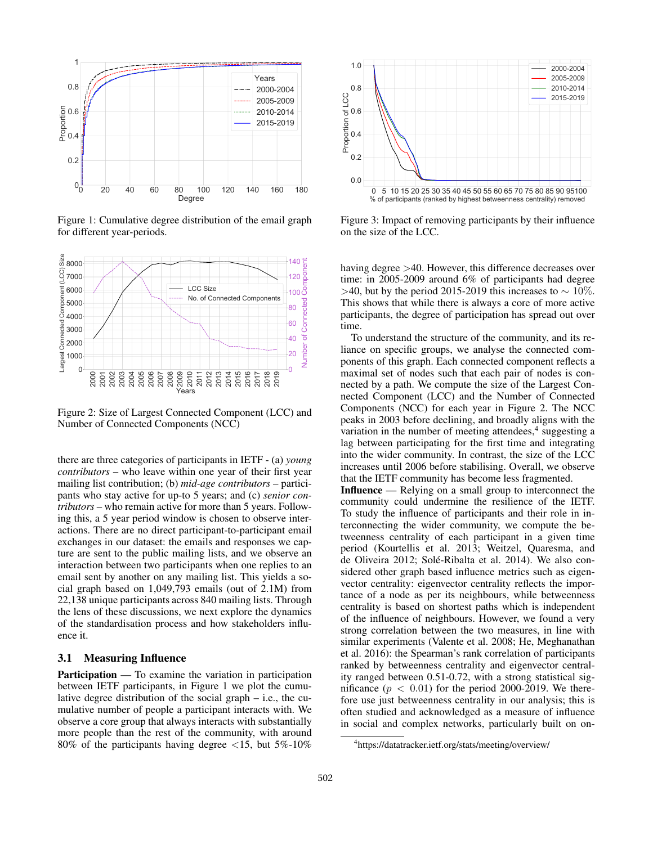

Figure 1: Cumulative degree distribution of the email graph for different year-periods.



Figure 2: Size of Largest Connected Component (LCC) and Number of Connected Components (NCC)

there are three categories of participants in IETF - (a) *young contributors* – who leave within one year of their first year mailing list contribution; (b) *mid-age contributors* – participants who stay active for up-to 5 years; and (c) *senior contributors* – who remain active for more than 5 years. Following this, a 5 year period window is chosen to observe interactions. There are no direct participant-to-participant email exchanges in our dataset: the emails and responses we capture are sent to the public mailing lists, and we observe an interaction between two participants when one replies to an email sent by another on any mailing list. This yields a social graph based on 1,049,793 emails (out of 2.1M) from 22,138 unique participants across 840 mailing lists. Through the lens of these discussions, we next explore the dynamics of the standardisation process and how stakeholders influence it.

#### 3.1 Measuring Influence

Participation — To examine the variation in participation between IETF participants, in Figure 1 we plot the cumulative degree distribution of the social graph – i.e., the cumulative number of people a participant interacts with. We observe a core group that always interacts with substantially more people than the rest of the community, with around 80% of the participants having degree  $\langle 15, \text{ but } 5\% \cdot 10\% \rangle$ 



Figure 3: Impact of removing participants by their influence on the size of the LCC.

having degree  $>40$ . However, this difference decreases over time: in 2005-2009 around 6% of participants had degree >40, but by the period 2015-2019 this increases to  $\sim 10\%$ . This shows that while there is always a core of more active participants, the degree of participation has spread out over time.

To understand the structure of the community, and its reliance on specific groups, we analyse the connected components of this graph. Each connected component reflects a maximal set of nodes such that each pair of nodes is connected by a path. We compute the size of the Largest Connected Component (LCC) and the Number of Connected Components (NCC) for each year in Figure 2. The NCC peaks in 2003 before declining, and broadly aligns with the variation in the number of meeting attendees,<sup>4</sup> suggesting a lag between participating for the first time and integrating into the wider community. In contrast, the size of the LCC increases until 2006 before stabilising. Overall, we observe that the IETF community has become less fragmented.

Influence — Relying on a small group to interconnect the community could undermine the resilience of the IETF. To study the influence of participants and their role in interconnecting the wider community, we compute the betweenness centrality of each participant in a given time period (Kourtellis et al. 2013; Weitzel, Quaresma, and de Oliveira 2012; Solé-Ribalta et al. 2014). We also considered other graph based influence metrics such as eigenvector centrality: eigenvector centrality reflects the importance of a node as per its neighbours, while betweenness centrality is based on shortest paths which is independent of the influence of neighbours. However, we found a very strong correlation between the two measures, in line with similar experiments (Valente et al. 2008; He, Meghanathan et al. 2016): the Spearman's rank correlation of participants ranked by betweenness centrality and eigenvector centrality ranged between 0.51-0.72, with a strong statistical significance  $(p < 0.01)$  for the period 2000-2019. We therefore use just betweenness centrality in our analysis; this is often studied and acknowledged as a measure of influence in social and complex networks, particularly built on on-

<sup>4</sup> https://datatracker.ietf.org/stats/meeting/overview/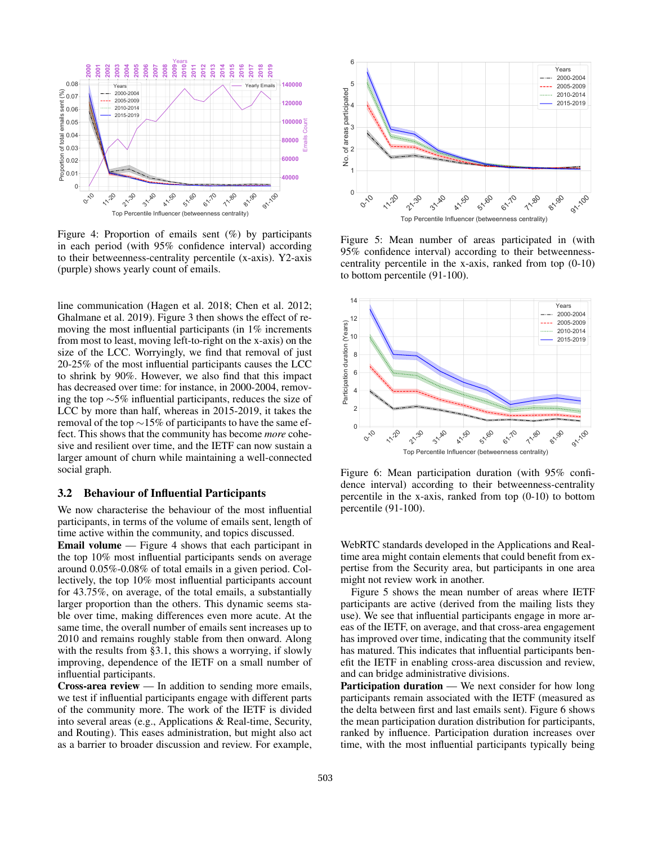

Figure 4: Proportion of emails sent (%) by participants in each period (with 95% confidence interval) according to their betweenness-centrality percentile (x-axis). Y2-axis (purple) shows yearly count of emails.

line communication (Hagen et al. 2018; Chen et al. 2012; Ghalmane et al. 2019). Figure 3 then shows the effect of removing the most influential participants (in 1% increments from most to least, moving left-to-right on the x-axis) on the size of the LCC. Worryingly, we find that removal of just 20-25% of the most influential participants causes the LCC to shrink by 90%. However, we also find that this impact has decreased over time: for instance, in 2000-2004, removing the top ∼5% influential participants, reduces the size of LCC by more than half, whereas in 2015-2019, it takes the removal of the top ∼15% of participants to have the same effect. This shows that the community has become *more* cohesive and resilient over time, and the IETF can now sustain a larger amount of churn while maintaining a well-connected social graph.  $s^{\circ}$ ,  $s^{\circ}$ ,  $s^{\circ}$ ,  $s^{\circ}$ ,  $s^{\circ}$ ,  $s^{\circ}$ ,  $s^{\circ}$ ,  $s^{\circ}$ ,  $s^{\circ}$ ,  $s^{\circ}$ ,  $s^{\circ}$ ,  $s^{\circ}$ ,  $s^{\circ}$ ,  $s^{\circ}$ ,  $s^{\circ}$ ,  $s^{\circ}$ ,  $s^{\circ}$ ,  $s^{\circ}$ ,  $s^{\circ}$ ,  $s^{\circ}$ ,  $s^{\circ}$ ,  $s^{\circ}$ ,  $s^{\circ}$  (Figure 4: Prop

### 3.2 Behaviour of Influential Participants

We now characterise the behaviour of the most influential participants, in terms of the volume of emails sent, length of time active within the community, and topics discussed.

Email volume — Figure 4 shows that each participant in the top 10% most influential participants sends on average around 0.05%-0.08% of total emails in a given period. Collectively, the top 10% most influential participants account for 43.75%, on average, of the total emails, a substantially larger proportion than the others. This dynamic seems stable over time, making differences even more acute. At the same time, the overall number of emails sent increases up to 2010 and remains roughly stable from then onward. Along with the results from §3.1, this shows a worrying, if slowly improving, dependence of the IETF on a small number of influential participants.

Cross-area review — In addition to sending more emails, we test if influential participants engage with different parts of the community more. The work of the IETF is divided into several areas (e.g., Applications & Real-time, Security, and Routing). This eases administration, but might also act



Figure 5: Mean number of areas participated in (with 95% confidence interval) according to their betweennesscentrality percentile in the x-axis, ranked from top (0-10) to bottom percentile (91-100).



Figure 6: Mean participation duration (with 95% confidence interval) according to their betweenness-centrality percentile in the x-axis, ranked from top (0-10) to bottom percentile (91-100).

WebRTC standards developed in the Applications and Realtime area might contain elements that could benefit from expertise from the Security area, but participants in one area might not review work in another.

Figure 5 shows the mean number of areas where IETF participants are active (derived from the mailing lists they use). We see that influential participants engage in more areas of the IETF, on average, and that cross-area engagement has improved over time, indicating that the community itself has matured. This indicates that influential participants benefit the IETF in enabling cross-area discussion and review, and can bridge administrative divisions.

Participation duration — We next consider for how long participants remain associated with the IETF (measured as the delta between first and last emails sent). Figure 6 shows the mean participation duration distribution for participants, ranked by influence. Participation duration increases over time, with the most influential participants typically being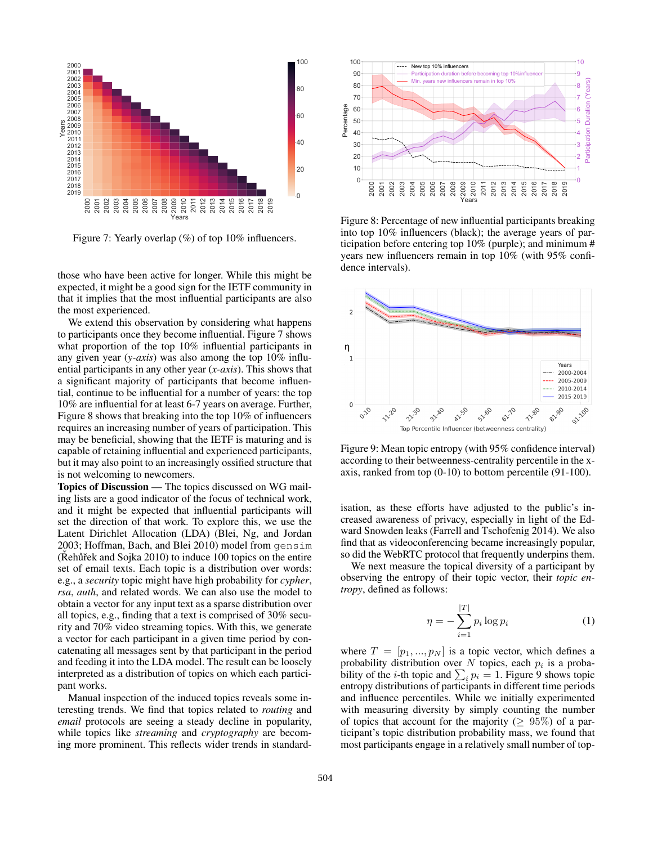

Figure 7: Yearly overlap (%) of top 10% influencers.

those who have been active for longer. While this might be expected, it might be a good sign for the IETF community in that it implies that the most influential participants are also the most experienced.

We extend this observation by considering what happens to participants once they become influential. Figure 7 shows what proportion of the top 10% influential participants in any given year (*y-axis*) was also among the top 10% influential participants in any other year (*x-axis*). This shows that a significant majority of participants that become influential, continue to be influential for a number of years: the top 10% are influential for at least 6-7 years on average. Further, Figure 8 shows that breaking into the top 10% of influencers requires an increasing number of years of participation. This may be beneficial, showing that the IETF is maturing and is capable of retaining influential and experienced participants, but it may also point to an increasingly ossified structure that is not welcoming to newcomers.

Topics of Discussion — The topics discussed on WG mailing lists are a good indicator of the focus of technical work, and it might be expected that influential participants will set the direction of that work. To explore this, we use the Latent Dirichlet Allocation (LDA) (Blei, Ng, and Jordan 2003; Hoffman, Bach, and Blei 2010) model from gensim  $(Rehuřek and Sojka 2010)$  to induce 100 topics on the entire set of email texts. Each topic is a distribution over words: e.g., a *security* topic might have high probability for *cypher*, *rsa*, *auth*, and related words. We can also use the model to obtain a vector for any input text as a sparse distribution over all topics, e.g., finding that a text is comprised of 30% security and 70% video streaming topics. With this, we generate a vector for each participant in a given time period by concatenating all messages sent by that participant in the period and feeding it into the LDA model. The result can be loosely interpreted as a distribution of topics on which each participant works. **Example of restandant and prominent and prominent and prominent works with the control of**  $\frac{2}{3}$  **and**  $\frac{2}{3}$  **and**  $\frac{2}{3}$  **and**  $\frac{2}{3}$  **and**  $\frac{2}{3}$  **and**  $\frac{2}{3}$  **and**  $\frac{2}{3}$  **and**  $\frac{2}{3}$  **and**  $\frac{2}{3}$  **and \frac{** 

Manual inspection of the induced topics reveals some interesting trends. We find that topics related to *routing* and *email* protocols are seeing a steady decline in popularity, while topics like *streaming* and *cryptography* are becom-



Figure 8: Percentage of new influential participants breaking into top 10% influencers (black); the average years of participation before entering top 10% (purple); and minimum # years new influencers remain in top 10% (with 95% confidence intervals).



Figure 9: Mean topic entropy (with 95% confidence interval) according to their betweenness-centrality percentile in the xaxis, ranked from top (0-10) to bottom percentile (91-100).

isation, as these efforts have adjusted to the public's increased awareness of privacy, especially in light of the Edward Snowden leaks (Farrell and Tschofenig 2014). We also find that as videoconferencing became increasingly popular, so did the WebRTC protocol that frequently underpins them.

We next measure the topical diversity of a participant by observing the entropy of their topic vector, their *topic entropy*, defined as follows:

$$
\eta = -\sum_{i=1}^{|T|} p_i \log p_i \tag{1}
$$

where  $T = [p_1, ..., p_N]$  is a topic vector, which defines a probability distribution over N topics, each  $p_i$  is a probability of the *i*-th topic and  $\sum_i p_i = 1$ . Figure 9 shows topic entropy distributions of participants in different time periods and influence percentiles. While we initially experimented with measuring diversity by simply counting the number of topics that account for the majority ( $\geq 95\%$ ) of a participant's topic distribution probability mass, we found that most participants engage in a relatively small number of top-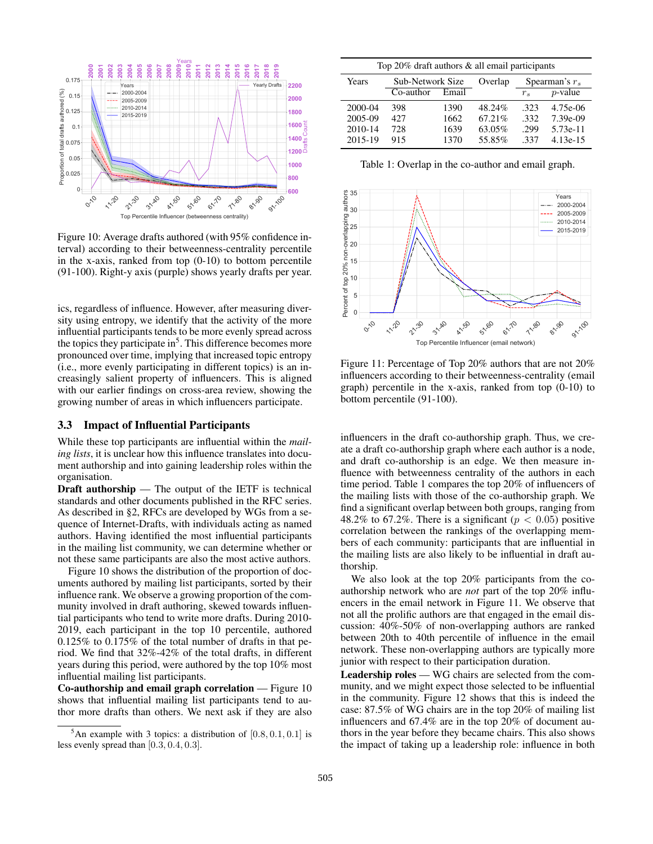

Figure 10: Average drafts authored (with 95% confidence interval) according to their betweenness-centrality percentile in the x-axis, ranked from top (0-10) to bottom percentile (91-100). Right-y axis (purple) shows yearly drafts per year.

ics, regardless of influence. However, after measuring diversity using entropy, we identify that the activity of the more influential participants tends to be more evenly spread across the topics they participate in<sup>5</sup>. This difference becomes more pronounced over time, implying that increased topic entropy (i.e., more evenly participating in different topics) is an increasingly salient property of influencers. This is aligned with our earlier findings on cross-area review, showing the growing number of areas in which influencers participate.

#### 3.3 Impact of Influential Participants

While these top participants are influential within the *mailing lists*, it is unclear how this influence translates into document authorship and into gaining leadership roles within the organisation.

Draft authorship — The output of the IETF is technical standards and other documents published in the RFC series. As described in §2, RFCs are developed by WGs from a sequence of Internet-Drafts, with individuals acting as named authors. Having identified the most influential participants in the mailing list community, we can determine whether or not these same participants are also the most active authors.

Figure 10 shows the distribution of the proportion of documents authored by mailing list participants, sorted by their influence rank. We observe a growing proportion of the community involved in draft authoring, skewed towards influential participants who tend to write more drafts. During 2010- 2019, each participant in the top 10 percentile, authored 0.125% to 0.175% of the total number of drafts in that period. We find that 32%-42% of the total drafts, in different years during this period, were authored by the top 10% most influential mailing list participants.

Co-authorship and email graph correlation — Figure 10 shows that influential mailing list participants tend to author more drafts than others. We next ask if they are also

| Top 20% draft authors & all email participants |                  |       |         |                  |            |  |  |
|------------------------------------------------|------------------|-------|---------|------------------|------------|--|--|
| Years                                          | Sub-Network Size |       | Overlap | Spearman's $r_s$ |            |  |  |
|                                                | $Co$ -author     | Email |         | $r_{s}$          | $p$ -value |  |  |
| 2000-04                                        | 398              | 1390  | 48.24%  | -323             | 4.75e-06   |  |  |
| 2005-09                                        | 427              | 1662  | 67.21%  | .332             | 7.39e-09   |  |  |
| 2010-14                                        | 728              | 1639  | 63.05%  | .299             | 5.73e-11   |  |  |
| 2015-19                                        | 915              | 1370  | 55.85%  | -337             | $4.13e-15$ |  |  |

Table 1: Overlap in the co-author and email graph.



Figure 11: Percentage of Top 20% authors that are not 20% influencers according to their betweenness-centrality (email graph) percentile in the x-axis, ranked from top (0-10) to bottom percentile (91-100).

influencers in the draft co-authorship graph. Thus, we create a draft co-authorship graph where each author is a node, and draft co-authorship is an edge. We then measure influence with betweenness centrality of the authors in each time period. Table 1 compares the top 20% of influencers of the mailing lists with those of the co-authorship graph. We find a significant overlap between both groups, ranging from 48.2% to 67.2%. There is a significant ( $p < 0.05$ ) positive correlation between the rankings of the overlapping members of each community: participants that are influential in the mailing lists are also likely to be influential in draft authorship.

We also look at the top 20% participants from the coauthorship network who are *not* part of the top 20% influencers in the email network in Figure 11. We observe that not all the prolific authors are that engaged in the email discussion: 40%-50% of non-overlapping authors are ranked between 20th to 40th percentile of influence in the email network. These non-overlapping authors are typically more junior with respect to their participation duration.

Leadership roles — WG chairs are selected from the community, and we might expect those selected to be influential in the community. Figure 12 shows that this is indeed the case: 87.5% of WG chairs are in the top 20% of mailing list influencers and 67.4% are in the top 20% of document authors in the year before they became chairs. This also shows the impact of taking up a leadership role: influence in both

<sup>&</sup>lt;sup>5</sup>An example with 3 topics: a distribution of  $[0.8, 0.1, 0.1]$  is less evenly spread than [0.3, 0.4, 0.3].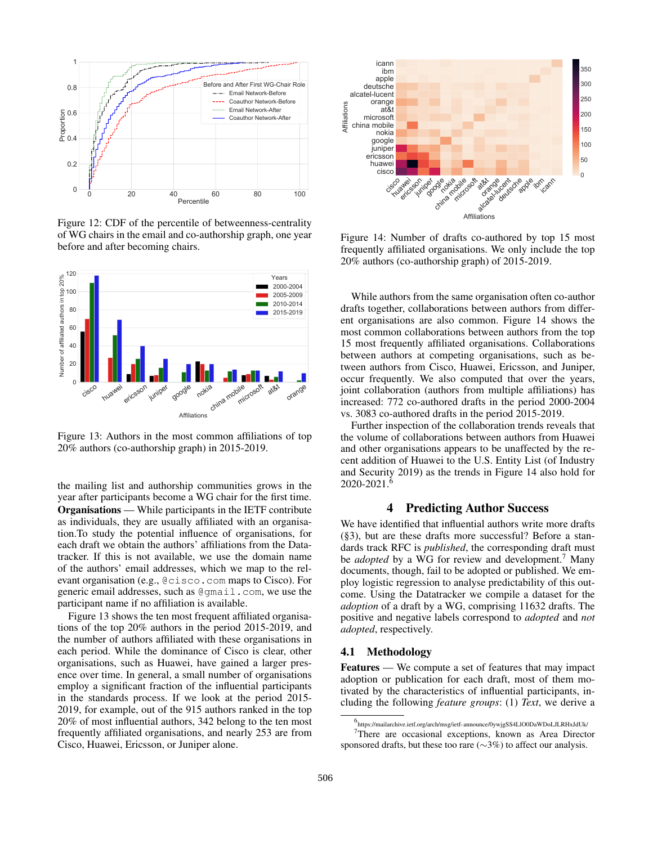

Figure 12: CDF of the percentile of betweenness-centrality of WG chairs in the email and co-authorship graph, one year before and after becoming chairs.



Figure 13: Authors in the most common affiliations of top 20% authors (co-authorship graph) in 2015-2019.

the mailing list and authorship communities grows in the year after participants become a WG chair for the first time. Organisations — While participants in the IETF contribute as individuals, they are usually affiliated with an organisation.To study the potential influence of organisations, for each draft we obtain the authors' affiliations from the Datatracker. If this is not available, we use the domain name of the authors' email addresses, which we map to the relevant organisation (e.g., @cisco.com maps to Cisco). For generic email addresses, such as @gmail.com, we use the participant name if no affiliation is available.

Figure 13 shows the ten most frequent affiliated organisations of the top 20% authors in the period 2015-2019, and the number of authors affiliated with these organisations in each period. While the dominance of Cisco is clear, other organisations, such as Huawei, have gained a larger presence over time. In general, a small number of organisations employ a significant fraction of the influential participants in the standards process. If we look at the period 2015- 2019, for example, out of the 915 authors ranked in the top 20% of most influential authors, 342 belong to the ten most frequently affiliated organisations, and nearly 253 are from Cisco, Huawei, Ericsson, or Juniper alone.



Figure 14: Number of drafts co-authored by top 15 most frequently affiliated organisations. We only include the top 20% authors (co-authorship graph) of 2015-2019.

While authors from the same organisation often co-author drafts together, collaborations between authors from different organisations are also common. Figure 14 shows the most common collaborations between authors from the top 15 most frequently affiliated organisations. Collaborations between authors at competing organisations, such as between authors from Cisco, Huawei, Ericsson, and Juniper, occur frequently. We also computed that over the years, joint collaboration (authors from multiple affiliations) has increased: 772 co-authored drafts in the period 2000-2004 vs. 3083 co-authored drafts in the period 2015-2019.

Further inspection of the collaboration trends reveals that the volume of collaborations between authors from Huawei and other organisations appears to be unaffected by the recent addition of Huawei to the U.S. Entity List (of Industry and Security 2019) as the trends in Figure 14 also hold for  $2020 - 2021$ .

### 4 Predicting Author Success

We have identified that influential authors write more drafts (§3), but are these drafts more successful? Before a standards track RFC is *published*, the corresponding draft must be *adopted* by a WG for review and development.<sup>7</sup> Many documents, though, fail to be adopted or published. We employ logistic regression to analyse predictability of this outcome. Using the Datatracker we compile a dataset for the *adoption* of a draft by a WG, comprising 11632 drafts. The positive and negative labels correspond to *adopted* and *not adopted*, respectively.

#### 4.1 Methodology

Features — We compute a set of features that may impact adoption or publication for each draft, most of them motivated by the characteristics of influential participants, including the following *feature groups*: (1) *Text*, we derive a

<sup>6</sup> https://mailarchive.ietf.org/arch/msg/ietf-announce/0ywjgSS4LlO0DaWDoLJLRHxJdUk/ <sup>7</sup>There are occasional exceptions, known as Area Director

sponsored drafts, but these too rare (∼3%) to affect our analysis.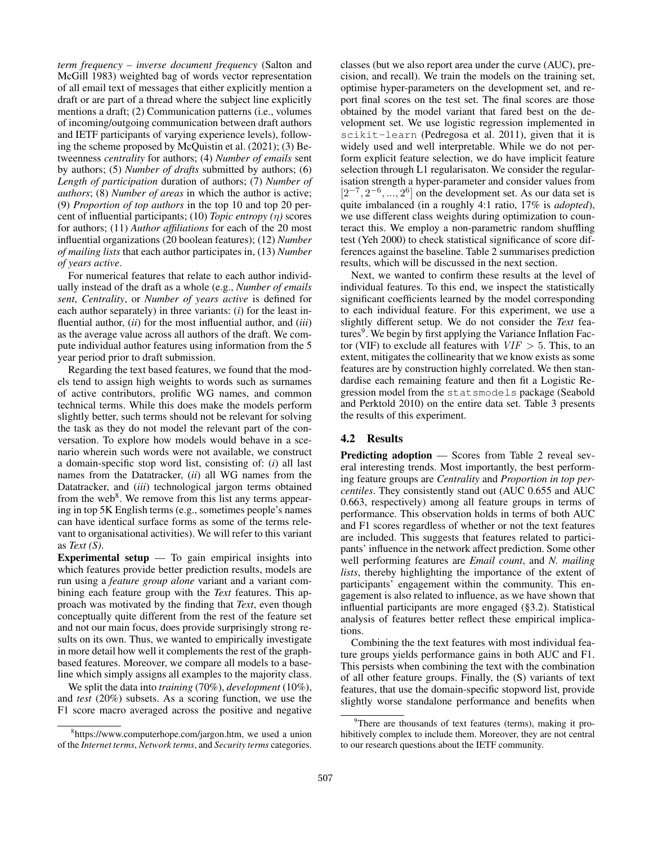*term frequency – inverse document frequency* (Salton and McGill 1983) weighted bag of words vector representation of all email text of messages that either explicitly mention a draft or are part of a thread where the subject line explicitly mentions a draft; (2) Communication patterns (i.e., volumes of incoming/outgoing communication between draft authors and IETF participants of varying experience levels), following the scheme proposed by McQuistin et al. (2021); (3) Betweenness *centrality* for authors; (4) *Number of emails* sent by authors; (5) *Number of drafts* submitted by authors; (6) *Length of participation* duration of authors; (7) *Number of authors*; (8) *Number of areas* in which the author is active; (9) *Proportion of top authors* in the top 10 and top 20 percent of influential participants; (10) *Topic entropy (*η*)* scores for authors; (11) *Author affiliations* for each of the 20 most influential organizations (20 boolean features); (12) *Number of mailing lists* that each author participates in, (13) *Number of years active*.

For numerical features that relate to each author individually instead of the draft as a whole (e.g., *Number of emails sent*, *Centrality*, or *Number of years active* is defined for each author separately) in three variants: (*i*) for the least influential author, (*ii*) for the most influential author, and (*iii*) as the average value across all authors of the draft. We compute individual author features using information from the 5 year period prior to draft submission.

Regarding the text based features, we found that the models tend to assign high weights to words such as surnames of active contributors, prolific WG names, and common technical terms. While this does make the models perform slightly better, such terms should not be relevant for solving the task as they do not model the relevant part of the conversation. To explore how models would behave in a scenario wherein such words were not available, we construct a domain-specific stop word list, consisting of: (*i*) all last names from the Datatracker, (*ii*) all WG names from the Datatracker, and (*iii*) technological jargon terms obtained from the web<sup>8</sup>. We remove from this list any terms appearing in top 5K English terms (e.g., sometimes people's names can have identical surface forms as some of the terms relevant to organisational activities). We will refer to this variant as *Text (S)*.

Experimental setup  $-$  To gain empirical insights into which features provide better prediction results, models are run using a *feature group alone* variant and a variant combining each feature group with the *Text* features. This approach was motivated by the finding that *Text*, even though conceptually quite different from the rest of the feature set and not our main focus, does provide surprisingly strong results on its own. Thus, we wanted to empirically investigate in more detail how well it complements the rest of the graphbased features. Moreover, we compare all models to a baseline which simply assigns all examples to the majority class.

We split the data into *training* (70%), *development* (10%), and *test* (20%) subsets. As a scoring function, we use the F1 score macro averaged across the positive and negative

classes (but we also report area under the curve (AUC), precision, and recall). We train the models on the training set, optimise hyper-parameters on the development set, and report final scores on the test set. The final scores are those obtained by the model variant that fared best on the development set. We use logistic regression implemented in scikit-learn (Pedregosa et al. 2011), given that it is widely used and well interpretable. While we do not perform explicit feature selection, we do have implicit feature selection through L1 regularisaton. We consider the regularisation strength a hyper-parameter and consider values from  $[2^{-7}, 2^{-6}, ..., 2^{6}]$  on the development set. As our data set is quite imbalanced (in a roughly 4:1 ratio, 17% is *adopted*), we use different class weights during optimization to counteract this. We employ a non-parametric random shuffling test (Yeh 2000) to check statistical significance of score differences against the baseline. Table 2 summarises prediction results, which will be discussed in the next section.

Next, we wanted to confirm these results at the level of individual features. To this end, we inspect the statistically significant coefficients learned by the model corresponding to each individual feature. For this experiment, we use a slightly different setup. We do not consider the *Text* features<sup>9</sup>. We begin by first applying the Variance Inflation Factor (VIF) to exclude all features with  $VIF > 5$ . This, to an extent, mitigates the collinearity that we know exists as some features are by construction highly correlated. We then standardise each remaining feature and then fit a Logistic Regression model from the statsmodels package (Seabold and Perktold 2010) on the entire data set. Table 3 presents the results of this experiment.

### 4.2 Results

Predicting adoption — Scores from Table 2 reveal several interesting trends. Most importantly, the best performing feature groups are *Centrality* and *Proportion in top percentiles*. They consistently stand out (AUC 0.655 and AUC 0.663, respectively) among all feature groups in terms of performance. This observation holds in terms of both AUC and F1 scores regardless of whether or not the text features are included. This suggests that features related to participants' influence in the network affect prediction. Some other well performing features are *Email count*, and *N. mailing lists*, thereby highlighting the importance of the extent of participants' engagement within the community. This engagement is also related to influence, as we have shown that influential participants are more engaged (§3.2). Statistical analysis of features better reflect these empirical implications.

Combining the the text features with most individual feature groups yields performance gains in both AUC and F1. This persists when combining the text with the combination of all other feature groups. Finally, the (S) variants of text features, that use the domain-specific stopword list, provide slightly worse standalone performance and benefits when

<sup>8</sup> https://www.computerhope.com/jargon.htm, we used a union of the *Internet terms*, *Network terms*, and *Security terms* categories.

 $9^9$ There are thousands of text features (terms), making it prohibitively complex to include them. Moreover, they are not central to our research questions about the IETF community.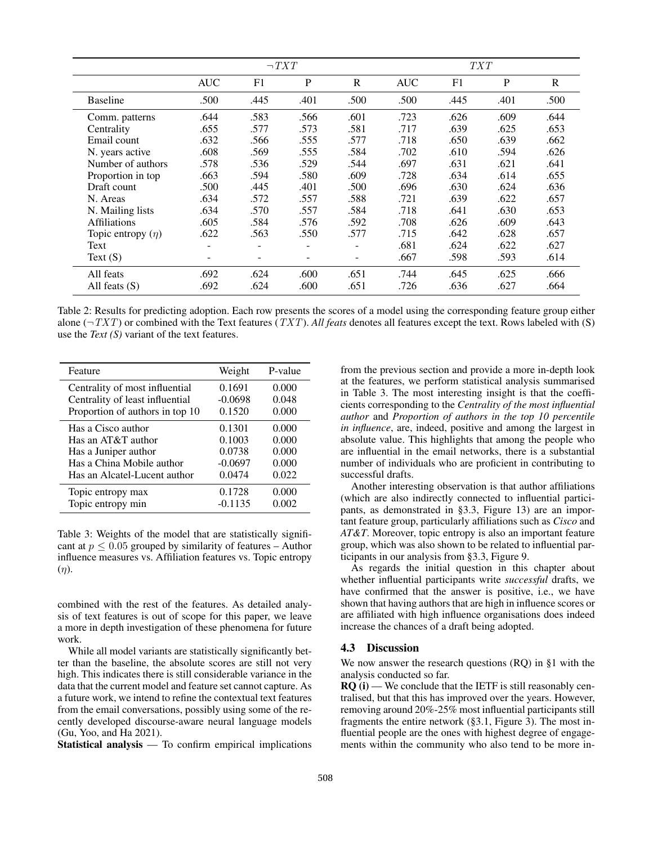|                        | $\neg TXT$               |      |      | <i>TXT</i>               |            |      |      |      |
|------------------------|--------------------------|------|------|--------------------------|------------|------|------|------|
|                        | <b>AUC</b>               | F1   | P    | $\mathbb{R}$             | <b>AUC</b> | F1   | P    | R    |
| <b>Baseline</b>        | .500                     | .445 | .401 | .500                     | .500       | .445 | .401 | .500 |
| Comm. patterns         | .644                     | .583 | .566 | .601                     | .723       | .626 | .609 | .644 |
| Centrality             | .655                     | .577 | .573 | .581                     | .717       | .639 | .625 | .653 |
| Email count            | .632                     | .566 | .555 | .577                     | .718       | .650 | .639 | .662 |
| N. years active        | .608                     | .569 | .555 | .584                     | .702       | .610 | .594 | .626 |
| Number of authors      | .578                     | .536 | .529 | .544                     | .697       | .631 | .621 | .641 |
| Proportion in top      | .663                     | .594 | .580 | .609                     | .728       | .634 | .614 | .655 |
| Draft count            | .500                     | .445 | .401 | .500                     | .696       | .630 | .624 | .636 |
| N. Areas               | .634                     | .572 | .557 | .588                     | .721       | .639 | .622 | .657 |
| N. Mailing lists       | .634                     | .570 | .557 | .584                     | .718       | .641 | .630 | .653 |
| <b>Affiliations</b>    | .605                     | .584 | .576 | .592                     | .708       | .626 | .609 | .643 |
| Topic entropy $(\eta)$ | .622                     | .563 | .550 | .577                     | .715       | .642 | .628 | .657 |
| Text                   | ۰                        |      |      | $\overline{\phantom{a}}$ | .681       | .624 | .622 | .627 |
| Text $(S)$             | $\overline{\phantom{0}}$ |      |      | ۰                        | .667       | .598 | .593 | .614 |
| All feats              | .692                     | .624 | .600 | .651                     | .744       | .645 | .625 | .666 |
| All feats $(S)$        | .692                     | .624 | .600 | .651                     | .726       | .636 | .627 | .664 |

Table 2: Results for predicting adoption. Each row presents the scores of a model using the corresponding feature group either alone  $(\neg TXT)$  or combined with the Text features (TXT). All feats denotes all features except the text. Rows labeled with (S) use the *Text (S)* variant of the text features.

| Feature                         | Weight    | P-value |
|---------------------------------|-----------|---------|
| Centrality of most influential  | 0.1691    | 0.000   |
| Centrality of least influential | $-0.0698$ | 0.048   |
| Proportion of authors in top 10 | 0.1520    | 0.000   |
| Has a Cisco author              | 0.1301    | 0.000   |
| Has an AT&T author              | 0.1003    | 0.000   |
| Has a Juniper author            | 0.0738    | 0.000   |
| Has a China Mobile author       | $-0.0697$ | 0.000   |
| Has an Alcatel-Lucent author    | 0.0474    | 0.022   |
| Topic entropy max               | 0.1728    | 0.000   |
| Topic entropy min               | $-0.1135$ | 0.002   |

Table 3: Weights of the model that are statistically significant at  $p \leq 0.05$  grouped by similarity of features – Author influence measures vs. Affiliation features vs. Topic entropy  $(\eta)$ .

combined with the rest of the features. As detailed analysis of text features is out of scope for this paper, we leave a more in depth investigation of these phenomena for future work.

While all model variants are statistically significantly better than the baseline, the absolute scores are still not very high. This indicates there is still considerable variance in the data that the current model and feature set cannot capture. As a future work, we intend to refine the contextual text features from the email conversations, possibly using some of the recently developed discourse-aware neural language models (Gu, Yoo, and Ha 2021).

Statistical analysis — To confirm empirical implications

from the previous section and provide a more in-depth look at the features, we perform statistical analysis summarised in Table 3. The most interesting insight is that the coefficients corresponding to the *Centrality of the most influential author* and *Proportion of authors in the top 10 percentile in influence*, are, indeed, positive and among the largest in absolute value. This highlights that among the people who are influential in the email networks, there is a substantial number of individuals who are proficient in contributing to successful drafts.

Another interesting observation is that author affiliations (which are also indirectly connected to influential participants, as demonstrated in §3.3, Figure 13) are an important feature group, particularly affiliations such as *Cisco* and *AT&T*. Moreover, topic entropy is also an important feature group, which was also shown to be related to influential participants in our analysis from §3.3, Figure 9.

As regards the initial question in this chapter about whether influential participants write *successful* drafts, we have confirmed that the answer is positive, i.e., we have shown that having authors that are high in influence scores or are affiliated with high influence organisations does indeed increase the chances of a draft being adopted.

### 4.3 Discussion

We now answer the research questions (RQ) in §1 with the analysis conducted so far.

 $RQ(i)$  — We conclude that the IETF is still reasonably centralised, but that this has improved over the years. However, removing around 20%-25% most influential participants still fragments the entire network (§3.1, Figure 3). The most influential people are the ones with highest degree of engagements within the community who also tend to be more in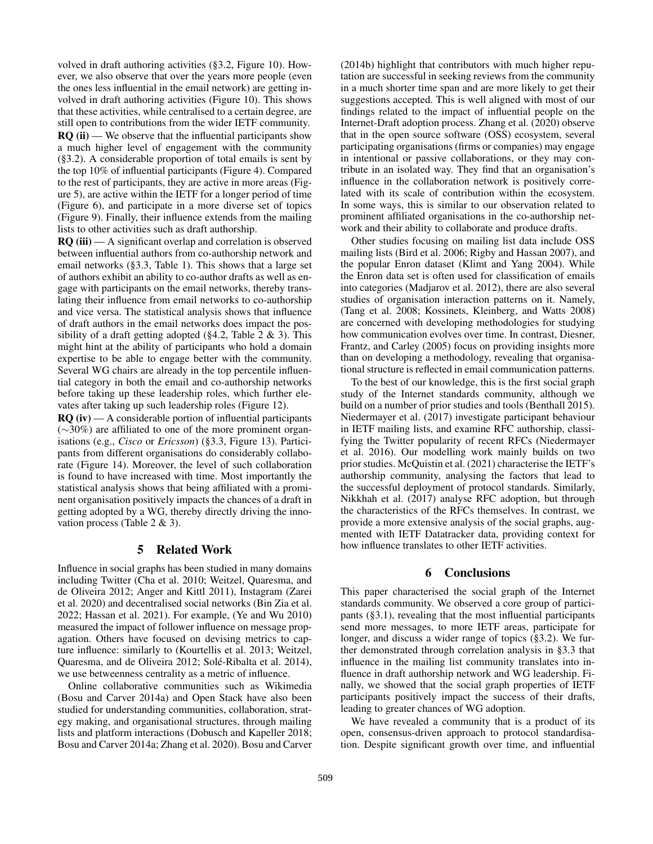volved in draft authoring activities (§3.2, Figure 10). However, we also observe that over the years more people (even the ones less influential in the email network) are getting involved in draft authoring activities (Figure 10). This shows that these activities, while centralised to a certain degree, are still open to contributions from the wider IETF community.  $RQ$  (ii) — We observe that the influential participants show a much higher level of engagement with the community (§3.2). A considerable proportion of total emails is sent by the top 10% of influential participants (Figure 4). Compared to the rest of participants, they are active in more areas (Figure 5), are active within the IETF for a longer period of time (Figure 6), and participate in a more diverse set of topics (Figure 9). Finally, their influence extends from the mailing lists to other activities such as draft authorship.

 $RQ$  (iii) — A significant overlap and correlation is observed between influential authors from co-authorship network and email networks (§3.3, Table 1). This shows that a large set of authors exhibit an ability to co-author drafts as well as engage with participants on the email networks, thereby translating their influence from email networks to co-authorship and vice versa. The statistical analysis shows that influence of draft authors in the email networks does impact the possibility of a draft getting adopted ( $\S 4.2$ , Table 2 & 3). This might hint at the ability of participants who hold a domain expertise to be able to engage better with the community. Several WG chairs are already in the top percentile influential category in both the email and co-authorship networks before taking up these leadership roles, which further elevates after taking up such leadership roles (Figure 12).

 $RO$  (iv) — A considerable portion of influential participants (∼30%) are affiliated to one of the more prominent organisations (e.g., *Cisco* or *Ericsson*) (§3.3, Figure 13). Participants from different organisations do considerably collaborate (Figure 14). Moreover, the level of such collaboration is found to have increased with time. Most importantly the statistical analysis shows that being affiliated with a prominent organisation positively impacts the chances of a draft in getting adopted by a WG, thereby directly driving the innovation process (Table 2 & 3).

### 5 Related Work

Influence in social graphs has been studied in many domains including Twitter (Cha et al. 2010; Weitzel, Quaresma, and de Oliveira 2012; Anger and Kittl 2011), Instagram (Zarei et al. 2020) and decentralised social networks (Bin Zia et al. 2022; Hassan et al. 2021). For example, (Ye and Wu 2010) measured the impact of follower influence on message propagation. Others have focused on devising metrics to capture influence: similarly to (Kourtellis et al. 2013; Weitzel, Quaresma, and de Oliveira 2012; Solé-Ribalta et al. 2014), we use betweenness centrality as a metric of influence.

Online collaborative communities such as Wikimedia (Bosu and Carver 2014a) and Open Stack have also been studied for understanding communities, collaboration, strategy making, and organisational structures, through mailing lists and platform interactions (Dobusch and Kapeller 2018; Bosu and Carver 2014a; Zhang et al. 2020). Bosu and Carver

(2014b) highlight that contributors with much higher reputation are successful in seeking reviews from the community in a much shorter time span and are more likely to get their suggestions accepted. This is well aligned with most of our findings related to the impact of influential people on the Internet-Draft adoption process. Zhang et al. (2020) observe that in the open source software (OSS) ecosystem, several participating organisations (firms or companies) may engage in intentional or passive collaborations, or they may contribute in an isolated way. They find that an organisation's influence in the collaboration network is positively correlated with its scale of contribution within the ecosystem. In some ways, this is similar to our observation related to prominent affiliated organisations in the co-authorship network and their ability to collaborate and produce drafts.

Other studies focusing on mailing list data include OSS mailing lists (Bird et al. 2006; Rigby and Hassan 2007), and the popular Enron dataset (Klimt and Yang 2004). While the Enron data set is often used for classification of emails into categories (Madjarov et al. 2012), there are also several studies of organisation interaction patterns on it. Namely, (Tang et al. 2008; Kossinets, Kleinberg, and Watts 2008) are concerned with developing methodologies for studying how communication evolves over time. In contrast, Diesner, Frantz, and Carley (2005) focus on providing insights more than on developing a methodology, revealing that organisational structure is reflected in email communication patterns.

To the best of our knowledge, this is the first social graph study of the Internet standards community, although we build on a number of prior studies and tools (Benthall 2015). Niedermayer et al. (2017) investigate participant behaviour in IETF mailing lists, and examine RFC authorship, classifying the Twitter popularity of recent RFCs (Niedermayer et al. 2016). Our modelling work mainly builds on two prior studies. McQuistin et al. (2021) characterise the IETF's authorship community, analysing the factors that lead to the successful deployment of protocol standards. Similarly, Nikkhah et al. (2017) analyse RFC adoption, but through the characteristics of the RFCs themselves. In contrast, we provide a more extensive analysis of the social graphs, augmented with IETF Datatracker data, providing context for how influence translates to other IETF activities.

### 6 Conclusions

This paper characterised the social graph of the Internet standards community. We observed a core group of participants (§3.1), revealing that the most influential participants send more messages, to more IETF areas, participate for longer, and discuss a wider range of topics (§3.2). We further demonstrated through correlation analysis in §3.3 that influence in the mailing list community translates into influence in draft authorship network and WG leadership. Finally, we showed that the social graph properties of IETF participants positively impact the success of their drafts, leading to greater chances of WG adoption.

We have revealed a community that is a product of its open, consensus-driven approach to protocol standardisation. Despite significant growth over time, and influential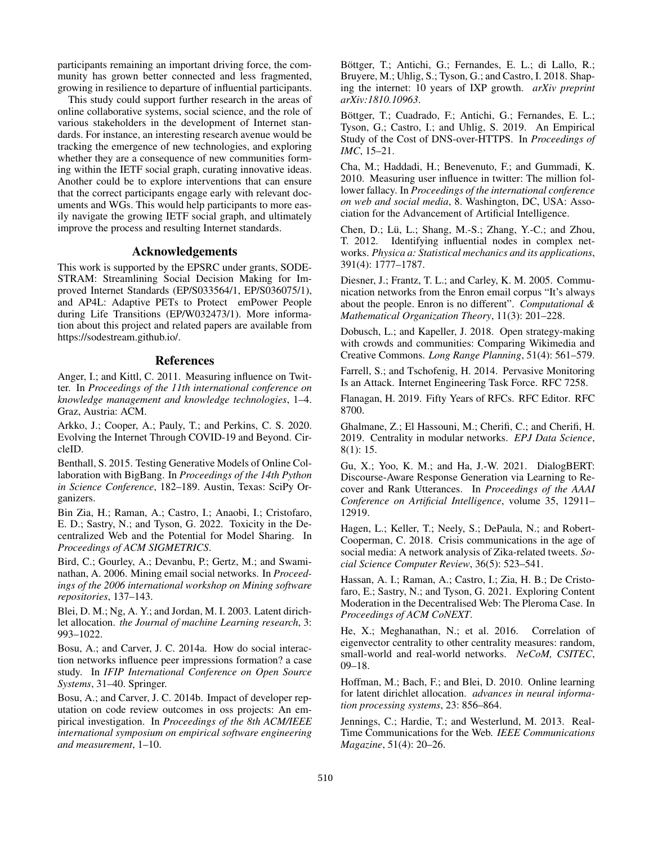participants remaining an important driving force, the community has grown better connected and less fragmented, growing in resilience to departure of influential participants.

This study could support further research in the areas of online collaborative systems, social science, and the role of various stakeholders in the development of Internet standards. For instance, an interesting research avenue would be tracking the emergence of new technologies, and exploring whether they are a consequence of new communities forming within the IETF social graph, curating innovative ideas. Another could be to explore interventions that can ensure that the correct participants engage early with relevant documents and WGs. This would help participants to more easily navigate the growing IETF social graph, and ultimately improve the process and resulting Internet standards.

### Acknowledgements

This work is supported by the EPSRC under grants, SODE-STRAM: Streamlining Social Decision Making for Improved Internet Standards (EP/S033564/1, EP/S036075/1), and AP4L: Adaptive PETs to Protect emPower People during Life Transitions (EP/W032473/1). More information about this project and related papers are available from https://sodestream.github.io/.

#### References

Anger, I.; and Kittl, C. 2011. Measuring influence on Twitter. In *Proceedings of the 11th international conference on knowledge management and knowledge technologies*, 1–4. Graz, Austria: ACM.

Arkko, J.; Cooper, A.; Pauly, T.; and Perkins, C. S. 2020. Evolving the Internet Through COVID-19 and Beyond. CircleID.

Benthall, S. 2015. Testing Generative Models of Online Collaboration with BigBang. In *Proceedings of the 14th Python in Science Conference*, 182–189. Austin, Texas: SciPy Organizers.

Bin Zia, H.; Raman, A.; Castro, I.; Anaobi, I.; Cristofaro, E. D.; Sastry, N.; and Tyson, G. 2022. Toxicity in the Decentralized Web and the Potential for Model Sharing. In *Proceedings of ACM SIGMETRICS*.

Bird, C.; Gourley, A.; Devanbu, P.; Gertz, M.; and Swaminathan, A. 2006. Mining email social networks. In *Proceedings of the 2006 international workshop on Mining software repositories*, 137–143.

Blei, D. M.; Ng, A. Y.; and Jordan, M. I. 2003. Latent dirichlet allocation. *the Journal of machine Learning research*, 3: 993–1022.

Bosu, A.; and Carver, J. C. 2014a. How do social interaction networks influence peer impressions formation? a case study. In *IFIP International Conference on Open Source Systems*, 31–40. Springer.

Bosu, A.; and Carver, J. C. 2014b. Impact of developer reputation on code review outcomes in oss projects: An empirical investigation. In *Proceedings of the 8th ACM/IEEE international symposium on empirical software engineering and measurement*, 1–10.

Böttger, T.; Antichi, G.; Fernandes, E. L.; di Lallo, R.; Bruyere, M.; Uhlig, S.; Tyson, G.; and Castro, I. 2018. Shaping the internet: 10 years of IXP growth. *arXiv preprint arXiv:1810.10963*.

Böttger, T.; Cuadrado, F.; Antichi, G.; Fernandes, E. L.; Tyson, G.; Castro, I.; and Uhlig, S. 2019. An Empirical Study of the Cost of DNS-over-HTTPS. In *Proceedings of IMC*, 15–21.

Cha, M.; Haddadi, H.; Benevenuto, F.; and Gummadi, K. 2010. Measuring user influence in twitter: The million follower fallacy. In *Proceedings of the international conference on web and social media*, 8. Washington, DC, USA: Association for the Advancement of Artificial Intelligence.

Chen, D.; Lü, L.; Shang, M.-S.; Zhang, Y.-C.; and Zhou, T. 2012. Identifying influential nodes in complex networks. *Physica a: Statistical mechanics and its applications*, 391(4): 1777–1787.

Diesner, J.; Frantz, T. L.; and Carley, K. M. 2005. Communication networks from the Enron email corpus "It's always about the people. Enron is no different". *Computational & Mathematical Organization Theory*, 11(3): 201–228.

Dobusch, L.; and Kapeller, J. 2018. Open strategy-making with crowds and communities: Comparing Wikimedia and Creative Commons. *Long Range Planning*, 51(4): 561–579.

Farrell, S.; and Tschofenig, H. 2014. Pervasive Monitoring Is an Attack. Internet Engineering Task Force. RFC 7258.

Flanagan, H. 2019. Fifty Years of RFCs. RFC Editor. RFC 8700.

Ghalmane, Z.; El Hassouni, M.; Cherifi, C.; and Cherifi, H. 2019. Centrality in modular networks. *EPJ Data Science*, 8(1): 15.

Gu, X.; Yoo, K. M.; and Ha, J.-W. 2021. DialogBERT: Discourse-Aware Response Generation via Learning to Recover and Rank Utterances. In *Proceedings of the AAAI Conference on Artificial Intelligence*, volume 35, 12911– 12919.

Hagen, L.; Keller, T.; Neely, S.; DePaula, N.; and Robert-Cooperman, C. 2018. Crisis communications in the age of social media: A network analysis of Zika-related tweets. *Social Science Computer Review*, 36(5): 523–541.

Hassan, A. I.; Raman, A.; Castro, I.; Zia, H. B.; De Cristofaro, E.; Sastry, N.; and Tyson, G. 2021. Exploring Content Moderation in the Decentralised Web: The Pleroma Case. In *Proceedings of ACM CoNEXT*.

He, X.; Meghanathan, N.; et al. 2016. Correlation of eigenvector centrality to other centrality measures: random, small-world and real-world networks. *NeCoM, CSITEC*, 09–18.

Hoffman, M.; Bach, F.; and Blei, D. 2010. Online learning for latent dirichlet allocation. *advances in neural information processing systems*, 23: 856–864.

Jennings, C.; Hardie, T.; and Westerlund, M. 2013. Real-Time Communications for the Web. *IEEE Communications Magazine*, 51(4): 20–26.